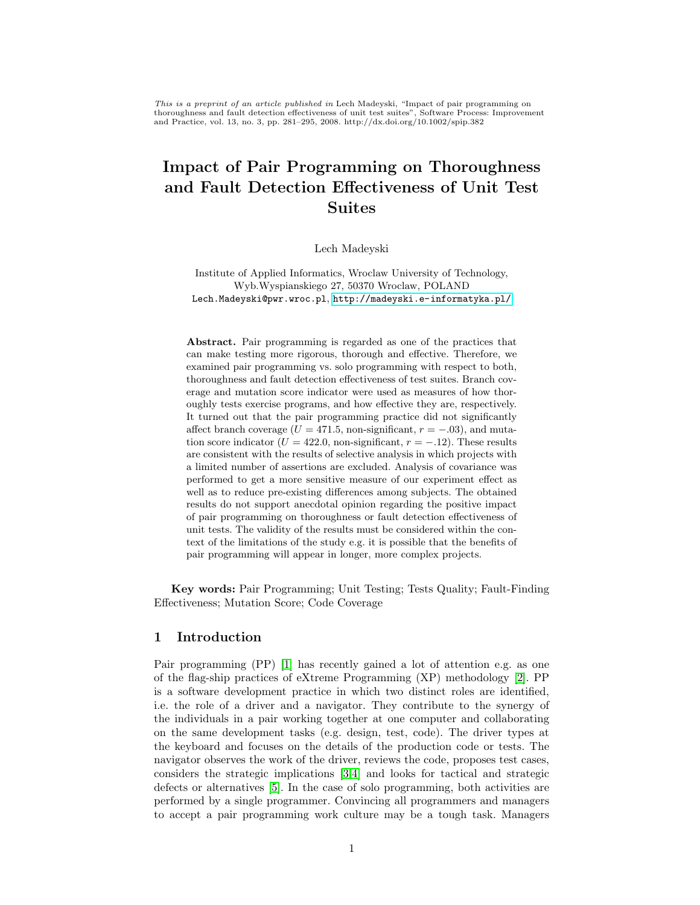This is a preprint of an article published in Lech Madeyski, "Impact of pair programming on thoroughness and fault detection effectiveness of unit test suites", Software Process: Improvement and Practice, vol. 13, no. 3, pp. 281–295, 2008. http://dx.doi.org/10.1002/spip.382

# Impact of Pair Programming on Thoroughness and Fault Detection Effectiveness of Unit Test Suites

Lech Madeyski

Institute of Applied Informatics, Wroclaw University of Technology, Wyb.Wyspianskiego 27, 50370 Wroclaw, POLAND Lech.Madeyski@pwr.wroc.pl, <http://madeyski.e-informatyka.pl/>

Abstract. Pair programming is regarded as one of the practices that can make testing more rigorous, thorough and effective. Therefore, we examined pair programming vs. solo programming with respect to both, thoroughness and fault detection effectiveness of test suites. Branch coverage and mutation score indicator were used as measures of how thoroughly tests exercise programs, and how effective they are, respectively. It turned out that the pair programming practice did not significantly affect branch coverage ( $U = 471.5$ , non-significant,  $r = -.03$ ), and mutation score indicator ( $U = 422.0$ , non-significant,  $r = -.12$ ). These results are consistent with the results of selective analysis in which projects with a limited number of assertions are excluded. Analysis of covariance was performed to get a more sensitive measure of our experiment effect as well as to reduce pre-existing differences among subjects. The obtained results do not support anecdotal opinion regarding the positive impact of pair programming on thoroughness or fault detection effectiveness of unit tests. The validity of the results must be considered within the context of the limitations of the study e.g. it is possible that the benefits of pair programming will appear in longer, more complex projects.

Key words: Pair Programming; Unit Testing; Tests Quality; Fault-Finding Effectiveness; Mutation Score; Code Coverage

# 1 Introduction

Pair programming (PP) [\[1\]](#page-17-0) has recently gained a lot of attention e.g. as one of the flag-ship practices of eXtreme Programming (XP) methodology [\[2\]](#page-17-1). PP is a software development practice in which two distinct roles are identified, i.e. the role of a driver and a navigator. They contribute to the synergy of the individuals in a pair working together at one computer and collaborating on the same development tasks (e.g. design, test, code). The driver types at the keyboard and focuses on the details of the production code or tests. The navigator observes the work of the driver, reviews the code, proposes test cases, considers the strategic implications [\[3](#page-17-2)[,4\]](#page-17-3) and looks for tactical and strategic defects or alternatives [\[5\]](#page-17-4). In the case of solo programming, both activities are performed by a single programmer. Convincing all programmers and managers to accept a pair programming work culture may be a tough task. Managers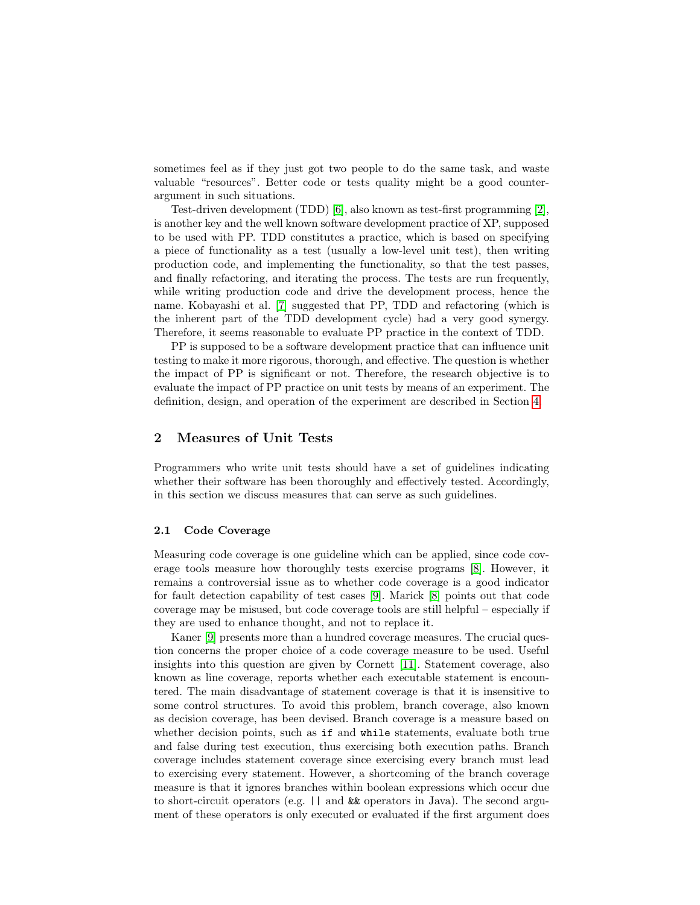sometimes feel as if they just got two people to do the same task, and waste valuable "resources". Better code or tests quality might be a good counterargument in such situations.

Test-driven development (TDD) [\[6\]](#page-17-5), also known as test-first programming [\[2\]](#page-17-1), is another key and the well known software development practice of XP, supposed to be used with PP. TDD constitutes a practice, which is based on specifying a piece of functionality as a test (usually a low-level unit test), then writing production code, and implementing the functionality, so that the test passes, and finally refactoring, and iterating the process. The tests are run frequently, while writing production code and drive the development process, hence the name. Kobayashi et al. [\[7\]](#page-17-6) suggested that PP, TDD and refactoring (which is the inherent part of the TDD development cycle) had a very good synergy. Therefore, it seems reasonable to evaluate PP practice in the context of TDD.

PP is supposed to be a software development practice that can influence unit testing to make it more rigorous, thorough, and effective. The question is whether the impact of PP is significant or not. Therefore, the research objective is to evaluate the impact of PP practice on unit tests by means of an experiment. The definition, design, and operation of the experiment are described in Section [4.](#page-4-0)

# <span id="page-1-0"></span>2 Measures of Unit Tests

Programmers who write unit tests should have a set of guidelines indicating whether their software has been thoroughly and effectively tested. Accordingly, in this section we discuss measures that can serve as such guidelines.

### 2.1 Code Coverage

Measuring code coverage is one guideline which can be applied, since code coverage tools measure how thoroughly tests exercise programs [\[8\]](#page-17-7). However, it remains a controversial issue as to whether code coverage is a good indicator for fault detection capability of test cases [\[9\]](#page-17-8). Marick [\[8\]](#page-17-7) points out that code coverage may be misused, but code coverage tools are still helpful – especially if they are used to enhance thought, and not to replace it.

Kaner [\[9\]](#page-17-8) presents more than a hundred coverage measures. The crucial question concerns the proper choice of a code coverage measure to be used. Useful insights into this question are given by Cornett [\[11\]](#page-17-9). Statement coverage, also known as line coverage, reports whether each executable statement is encountered. The main disadvantage of statement coverage is that it is insensitive to some control structures. To avoid this problem, branch coverage, also known as decision coverage, has been devised. Branch coverage is a measure based on whether decision points, such as if and while statements, evaluate both true and false during test execution, thus exercising both execution paths. Branch coverage includes statement coverage since exercising every branch must lead to exercising every statement. However, a shortcoming of the branch coverage measure is that it ignores branches within boolean expressions which occur due to short-circuit operators (e.g. || and && operators in Java). The second argument of these operators is only executed or evaluated if the first argument does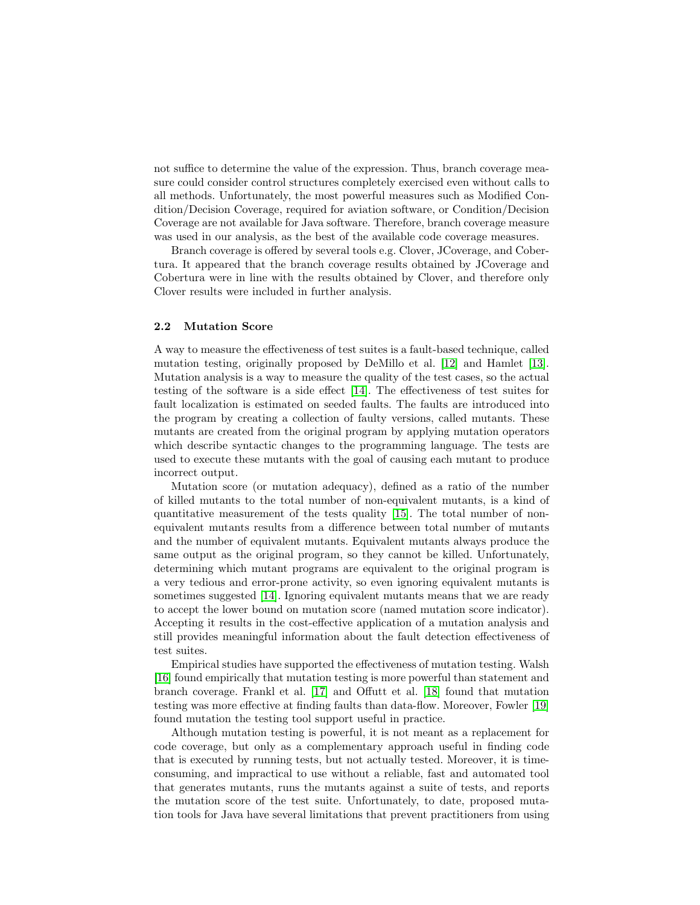not suffice to determine the value of the expression. Thus, branch coverage measure could consider control structures completely exercised even without calls to all methods. Unfortunately, the most powerful measures such as Modified Condition/Decision Coverage, required for aviation software, or Condition/Decision Coverage are not available for Java software. Therefore, branch coverage measure was used in our analysis, as the best of the available code coverage measures.

Branch coverage is offered by several tools e.g. Clover, JCoverage, and Cobertura. It appeared that the branch coverage results obtained by JCoverage and Cobertura were in line with the results obtained by Clover, and therefore only Clover results were included in further analysis.

## 2.2 Mutation Score

A way to measure the effectiveness of test suites is a fault-based technique, called mutation testing, originally proposed by DeMillo et al. [\[12\]](#page-18-0) and Hamlet [\[13\]](#page-18-1). Mutation analysis is a way to measure the quality of the test cases, so the actual testing of the software is a side effect [\[14\]](#page-18-2). The effectiveness of test suites for fault localization is estimated on seeded faults. The faults are introduced into the program by creating a collection of faulty versions, called mutants. These mutants are created from the original program by applying mutation operators which describe syntactic changes to the programming language. The tests are used to execute these mutants with the goal of causing each mutant to produce incorrect output.

Mutation score (or mutation adequacy), defined as a ratio of the number of killed mutants to the total number of non-equivalent mutants, is a kind of quantitative measurement of the tests quality [\[15\]](#page-18-3). The total number of nonequivalent mutants results from a difference between total number of mutants and the number of equivalent mutants. Equivalent mutants always produce the same output as the original program, so they cannot be killed. Unfortunately, determining which mutant programs are equivalent to the original program is a very tedious and error-prone activity, so even ignoring equivalent mutants is sometimes suggested [\[14\]](#page-18-2). Ignoring equivalent mutants means that we are ready to accept the lower bound on mutation score (named mutation score indicator). Accepting it results in the cost-effective application of a mutation analysis and still provides meaningful information about the fault detection effectiveness of test suites.

Empirical studies have supported the effectiveness of mutation testing. Walsh [\[16\]](#page-18-4) found empirically that mutation testing is more powerful than statement and branch coverage. Frankl et al. [\[17\]](#page-18-5) and Offutt et al. [\[18\]](#page-18-6) found that mutation testing was more effective at finding faults than data-flow. Moreover, Fowler [\[19\]](#page-18-7) found mutation the testing tool support useful in practice.

Although mutation testing is powerful, it is not meant as a replacement for code coverage, but only as a complementary approach useful in finding code that is executed by running tests, but not actually tested. Moreover, it is timeconsuming, and impractical to use without a reliable, fast and automated tool that generates mutants, runs the mutants against a suite of tests, and reports the mutation score of the test suite. Unfortunately, to date, proposed mutation tools for Java have several limitations that prevent practitioners from using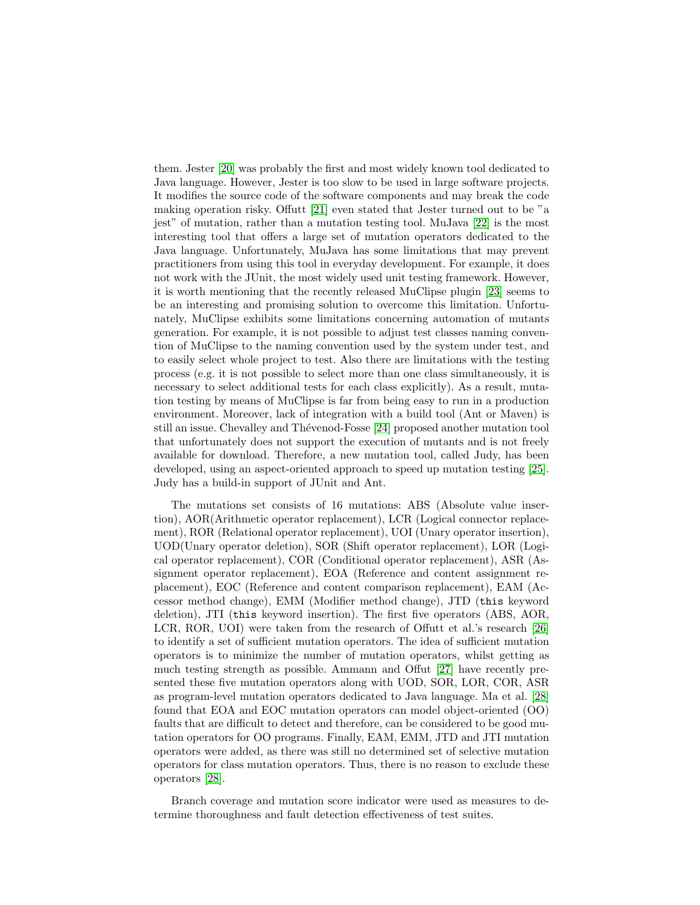them. Jester [\[20\]](#page-18-8) was probably the first and most widely known tool dedicated to Java language. However, Jester is too slow to be used in large software projects. It modifies the source code of the software components and may break the code making operation risky. Offutt [\[21\]](#page-18-9) even stated that Jester turned out to be "a jest" of mutation, rather than a mutation testing tool. MuJava [\[22\]](#page-18-10) is the most interesting tool that offers a large set of mutation operators dedicated to the Java language. Unfortunately, MuJava has some limitations that may prevent practitioners from using this tool in everyday development. For example, it does not work with the JUnit, the most widely used unit testing framework. However, it is worth mentioning that the recently released MuClipse plugin [\[23\]](#page-18-11) seems to be an interesting and promising solution to overcome this limitation. Unfortunately, MuClipse exhibits some limitations concerning automation of mutants generation. For example, it is not possible to adjust test classes naming convention of MuClipse to the naming convention used by the system under test, and to easily select whole project to test. Also there are limitations with the testing process (e.g. it is not possible to select more than one class simultaneously, it is necessary to select additional tests for each class explicitly). As a result, mutation testing by means of MuClipse is far from being easy to run in a production environment. Moreover, lack of integration with a build tool (Ant or Maven) is still an issue. Chevalley and Thévenod-Fosse [\[24\]](#page-18-12) proposed another mutation tool that unfortunately does not support the execution of mutants and is not freely available for download. Therefore, a new mutation tool, called Judy, has been developed, using an aspect-oriented approach to speed up mutation testing [\[25\]](#page-18-13). Judy has a build-in support of JUnit and Ant.

The mutations set consists of 16 mutations: ABS (Absolute value insertion), AOR(Arithmetic operator replacement), LCR (Logical connector replacement), ROR (Relational operator replacement), UOI (Unary operator insertion), UOD(Unary operator deletion), SOR (Shift operator replacement), LOR (Logical operator replacement), COR (Conditional operator replacement), ASR (Assignment operator replacement), EOA (Reference and content assignment replacement), EOC (Reference and content comparison replacement), EAM (Accessor method change), EMM (Modifier method change), JTD (this keyword deletion), JTI (this keyword insertion). The first five operators (ABS, AOR, LCR, ROR, UOI) were taken from the research of Offutt et al.'s research [\[26\]](#page-18-14) to identify a set of sufficient mutation operators. The idea of sufficient mutation operators is to minimize the number of mutation operators, whilst getting as much testing strength as possible. Ammann and Offut [\[27\]](#page-18-15) have recently presented these five mutation operators along with UOD, SOR, LOR, COR, ASR as program-level mutation operators dedicated to Java language. Ma et al. [\[28\]](#page-18-16) found that EOA and EOC mutation operators can model object-oriented (OO) faults that are difficult to detect and therefore, can be considered to be good mutation operators for OO programs. Finally, EAM, EMM, JTD and JTI mutation operators were added, as there was still no determined set of selective mutation operators for class mutation operators. Thus, there is no reason to exclude these operators [\[28\]](#page-18-16).

Branch coverage and mutation score indicator were used as measures to determine thoroughness and fault detection effectiveness of test suites.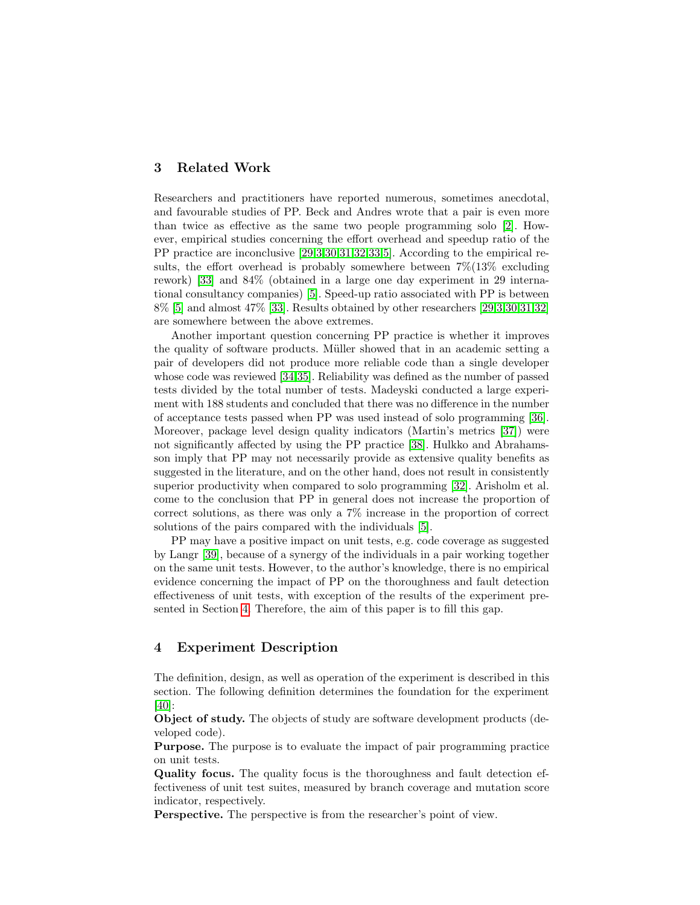# 3 Related Work

Researchers and practitioners have reported numerous, sometimes anecdotal, and favourable studies of PP. Beck and Andres wrote that a pair is even more than twice as effective as the same two people programming solo [\[2\]](#page-17-1). However, empirical studies concerning the effort overhead and speedup ratio of the PP practice are inconclusive [\[29,](#page-18-17)[3](#page-17-2)[,30](#page-18-18)[,31](#page-18-19)[,32,](#page-18-20)[33,](#page-18-21)[5\]](#page-17-4). According to the empirical results, the effort overhead is probably somewhere between  $7\%/13\%$  excluding rework) [\[33\]](#page-18-21) and 84% (obtained in a large one day experiment in 29 international consultancy companies) [\[5\]](#page-17-4). Speed-up ratio associated with PP is between 8% [\[5\]](#page-17-4) and almost 47% [\[33\]](#page-18-21). Results obtained by other researchers [\[29,](#page-18-17)[3](#page-17-2)[,30](#page-18-18)[,31,](#page-18-19)[32\]](#page-18-20) are somewhere between the above extremes.

Another important question concerning PP practice is whether it improves the quality of software products. Müller showed that in an academic setting a pair of developers did not produce more reliable code than a single developer whose code was reviewed [\[34](#page-18-22)[,35\]](#page-19-0). Reliability was defined as the number of passed tests divided by the total number of tests. Madeyski conducted a large experiment with 188 students and concluded that there was no difference in the number of acceptance tests passed when PP was used instead of solo programming [\[36\]](#page-19-1). Moreover, package level design quality indicators (Martin's metrics [\[37\]](#page-19-2)) were not significantly affected by using the PP practice [\[38\]](#page-19-3). Hulkko and Abrahamsson imply that PP may not necessarily provide as extensive quality benefits as suggested in the literature, and on the other hand, does not result in consistently superior productivity when compared to solo programming [\[32\]](#page-18-20). Arisholm et al. come to the conclusion that PP in general does not increase the proportion of correct solutions, as there was only a 7% increase in the proportion of correct solutions of the pairs compared with the individuals [\[5\]](#page-17-4).

PP may have a positive impact on unit tests, e.g. code coverage as suggested by Langr [\[39\]](#page-19-4), because of a synergy of the individuals in a pair working together on the same unit tests. However, to the author's knowledge, there is no empirical evidence concerning the impact of PP on the thoroughness and fault detection effectiveness of unit tests, with exception of the results of the experiment presented in Section [4.](#page-4-0) Therefore, the aim of this paper is to fill this gap.

# <span id="page-4-0"></span>4 Experiment Description

The definition, design, as well as operation of the experiment is described in this section. The following definition determines the foundation for the experiment [\[40\]](#page-19-5):

Object of study. The objects of study are software development products (developed code).

Purpose. The purpose is to evaluate the impact of pair programming practice on unit tests.

Quality focus. The quality focus is the thoroughness and fault detection effectiveness of unit test suites, measured by branch coverage and mutation score indicator, respectively.

Perspective. The perspective is from the researcher's point of view.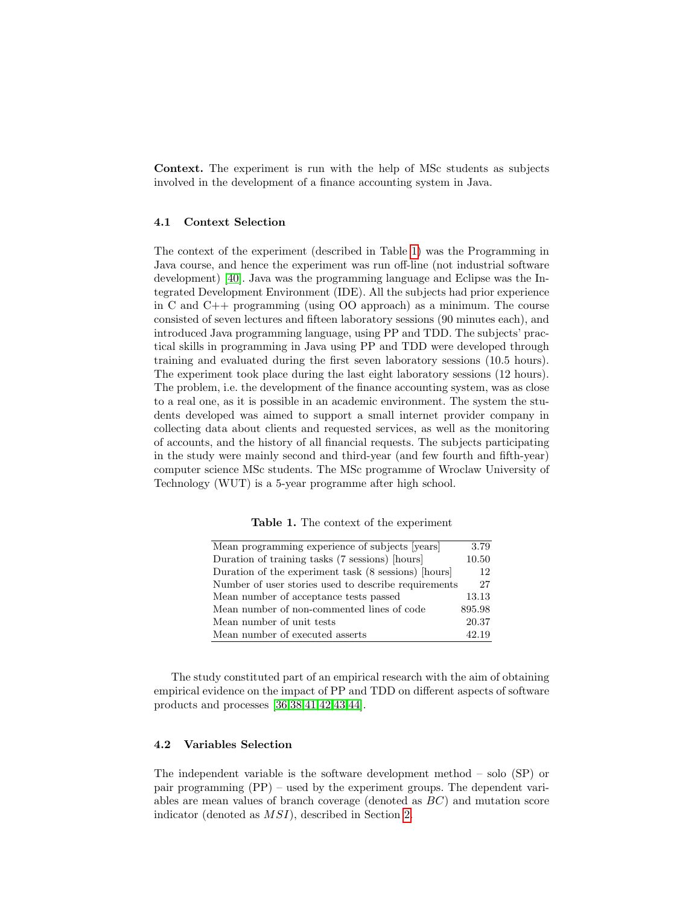Context. The experiment is run with the help of MSc students as subjects involved in the development of a finance accounting system in Java.

### 4.1 Context Selection

The context of the experiment (described in Table [1\)](#page-5-0) was the Programming in Java course, and hence the experiment was run off-line (not industrial software development) [\[40\]](#page-19-5). Java was the programming language and Eclipse was the Integrated Development Environment (IDE). All the subjects had prior experience in C and C++ programming (using OO approach) as a minimum. The course consisted of seven lectures and fifteen laboratory sessions (90 minutes each), and introduced Java programming language, using PP and TDD. The subjects' practical skills in programming in Java using PP and TDD were developed through training and evaluated during the first seven laboratory sessions (10.5 hours). The experiment took place during the last eight laboratory sessions (12 hours). The problem, i.e. the development of the finance accounting system, was as close to a real one, as it is possible in an academic environment. The system the students developed was aimed to support a small internet provider company in collecting data about clients and requested services, as well as the monitoring of accounts, and the history of all financial requests. The subjects participating in the study were mainly second and third-year (and few fourth and fifth-year) computer science MSc students. The MSc programme of Wroclaw University of Technology (WUT) is a 5-year programme after high school.

<span id="page-5-0"></span>Table 1. The context of the experiment

| Mean programming experience of subjects [years]      | 3.79   |
|------------------------------------------------------|--------|
| Duration of training tasks (7 sessions) [hours]      | 10.50  |
| Duration of the experiment task (8 sessions) [hours] | 12     |
| Number of user stories used to describe requirements | 27     |
| Mean number of acceptance tests passed               | 13.13  |
| Mean number of non-commented lines of code           | 895.98 |
| Mean number of unit tests                            | 20.37  |
| Mean number of executed asserts                      | 42.19  |

The study constituted part of an empirical research with the aim of obtaining empirical evidence on the impact of PP and TDD on different aspects of software products and processes [\[36](#page-19-1)[,38,](#page-19-3)[41,](#page-19-6)[42](#page-19-7)[,43](#page-19-8)[,44\]](#page-19-9).

## 4.2 Variables Selection

The independent variable is the software development method – solo (SP) or pair programming (PP) – used by the experiment groups. The dependent variables are mean values of branch coverage (denoted as BC) and mutation score indicator (denoted as MSI), described in Section [2.](#page-1-0)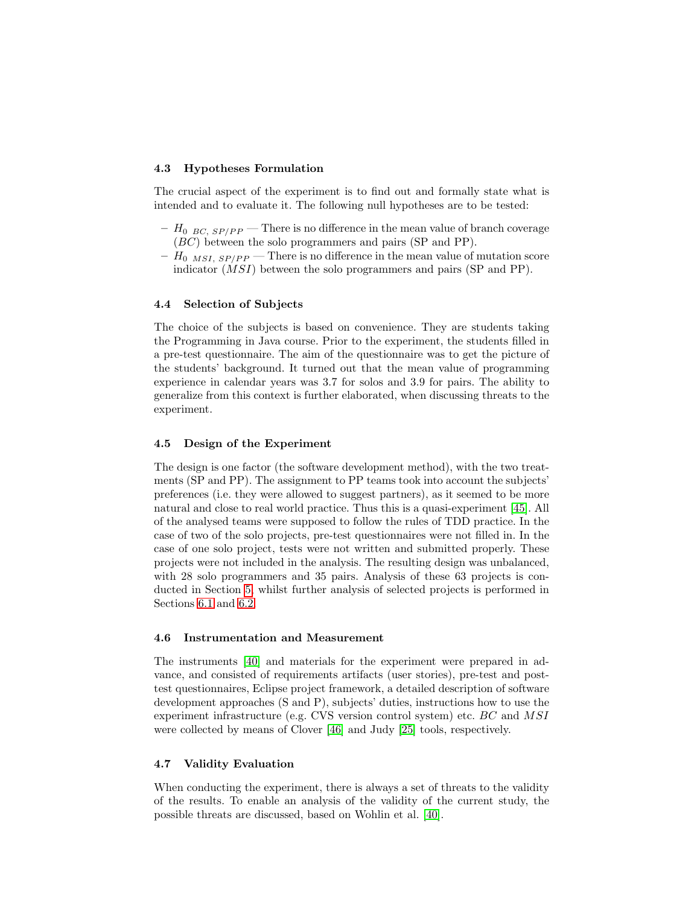## <span id="page-6-0"></span>4.3 Hypotheses Formulation

The crucial aspect of the experiment is to find out and formally state what is intended and to evaluate it. The following null hypotheses are to be tested:

- $H_0$  BC,  $S_{P/PP}$  There is no difference in the mean value of branch coverage (BC) between the solo programmers and pairs (SP and PP).
- $H_0$  MSI,  $\frac{S}{S}P/PP$  There is no difference in the mean value of mutation score indicator (MSI) between the solo programmers and pairs (SP and PP).

### 4.4 Selection of Subjects

The choice of the subjects is based on convenience. They are students taking the Programming in Java course. Prior to the experiment, the students filled in a pre-test questionnaire. The aim of the questionnaire was to get the picture of the students' background. It turned out that the mean value of programming experience in calendar years was 3.7 for solos and 3.9 for pairs. The ability to generalize from this context is further elaborated, when discussing threats to the experiment.

## 4.5 Design of the Experiment

The design is one factor (the software development method), with the two treatments (SP and PP). The assignment to PP teams took into account the subjects' preferences (i.e. they were allowed to suggest partners), as it seemed to be more natural and close to real world practice. Thus this is a quasi-experiment [\[45\]](#page-19-10). All of the analysed teams were supposed to follow the rules of TDD practice. In the case of two of the solo projects, pre-test questionnaires were not filled in. In the case of one solo project, tests were not written and submitted properly. These projects were not included in the analysis. The resulting design was unbalanced, with 28 solo programmers and 35 pairs. Analysis of these 63 projects is conducted in Section [5,](#page-9-0) whilst further analysis of selected projects is performed in Sections [6.1](#page-11-0) and [6.2.](#page-13-0)

### 4.6 Instrumentation and Measurement

The instruments [\[40\]](#page-19-5) and materials for the experiment were prepared in advance, and consisted of requirements artifacts (user stories), pre-test and posttest questionnaires, Eclipse project framework, a detailed description of software development approaches (S and P), subjects' duties, instructions how to use the experiment infrastructure (e.g. CVS version control system) etc. BC and MSI were collected by means of Clover [\[46\]](#page-19-11) and Judy [\[25\]](#page-18-13) tools, respectively.

## 4.7 Validity Evaluation

When conducting the experiment, there is always a set of threats to the validity of the results. To enable an analysis of the validity of the current study, the possible threats are discussed, based on Wohlin et al. [\[40\]](#page-19-5).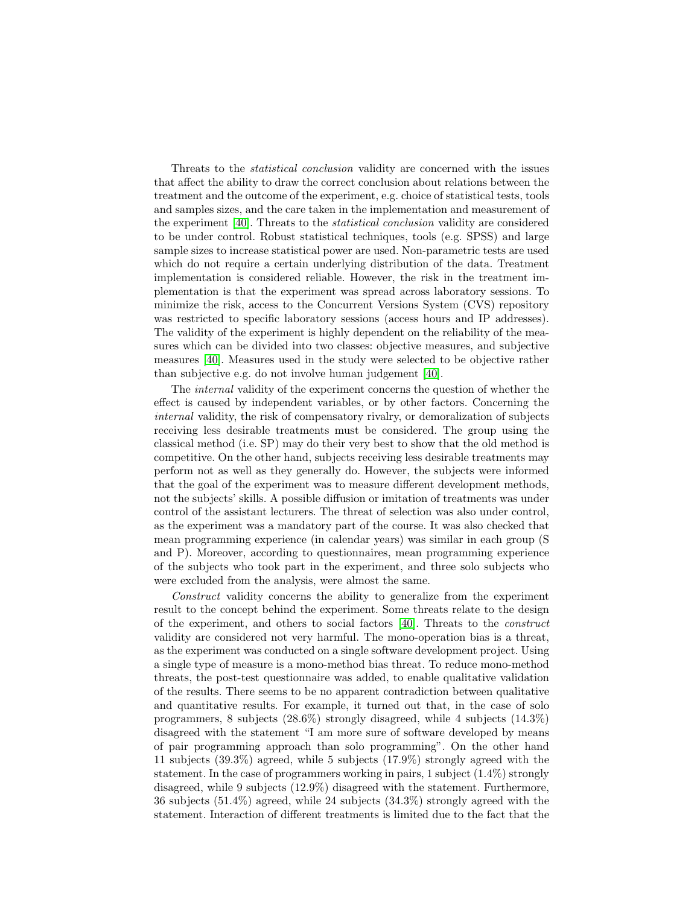Threats to the statistical conclusion validity are concerned with the issues that affect the ability to draw the correct conclusion about relations between the treatment and the outcome of the experiment, e.g. choice of statistical tests, tools and samples sizes, and the care taken in the implementation and measurement of the experiment [\[40\]](#page-19-5). Threats to the statistical conclusion validity are considered to be under control. Robust statistical techniques, tools (e.g. SPSS) and large sample sizes to increase statistical power are used. Non-parametric tests are used which do not require a certain underlying distribution of the data. Treatment implementation is considered reliable. However, the risk in the treatment implementation is that the experiment was spread across laboratory sessions. To minimize the risk, access to the Concurrent Versions System (CVS) repository was restricted to specific laboratory sessions (access hours and IP addresses). The validity of the experiment is highly dependent on the reliability of the measures which can be divided into two classes: objective measures, and subjective measures [\[40\]](#page-19-5). Measures used in the study were selected to be objective rather than subjective e.g. do not involve human judgement [\[40\]](#page-19-5).

The internal validity of the experiment concerns the question of whether the effect is caused by independent variables, or by other factors. Concerning the internal validity, the risk of compensatory rivalry, or demoralization of subjects receiving less desirable treatments must be considered. The group using the classical method (i.e. SP) may do their very best to show that the old method is competitive. On the other hand, subjects receiving less desirable treatments may perform not as well as they generally do. However, the subjects were informed that the goal of the experiment was to measure different development methods, not the subjects' skills. A possible diffusion or imitation of treatments was under control of the assistant lecturers. The threat of selection was also under control, as the experiment was a mandatory part of the course. It was also checked that mean programming experience (in calendar years) was similar in each group (S and P). Moreover, according to questionnaires, mean programming experience of the subjects who took part in the experiment, and three solo subjects who were excluded from the analysis, were almost the same.

Construct validity concerns the ability to generalize from the experiment result to the concept behind the experiment. Some threats relate to the design of the experiment, and others to social factors [\[40\]](#page-19-5). Threats to the construct validity are considered not very harmful. The mono-operation bias is a threat, as the experiment was conducted on a single software development project. Using a single type of measure is a mono-method bias threat. To reduce mono-method threats, the post-test questionnaire was added, to enable qualitative validation of the results. There seems to be no apparent contradiction between qualitative and quantitative results. For example, it turned out that, in the case of solo programmers, 8 subjects (28.6%) strongly disagreed, while 4 subjects (14.3%) disagreed with the statement "I am more sure of software developed by means of pair programming approach than solo programming". On the other hand 11 subjects (39.3%) agreed, while 5 subjects (17.9%) strongly agreed with the statement. In the case of programmers working in pairs, 1 subject (1.4%) strongly disagreed, while 9 subjects (12.9%) disagreed with the statement. Furthermore, 36 subjects (51.4%) agreed, while 24 subjects (34.3%) strongly agreed with the statement. Interaction of different treatments is limited due to the fact that the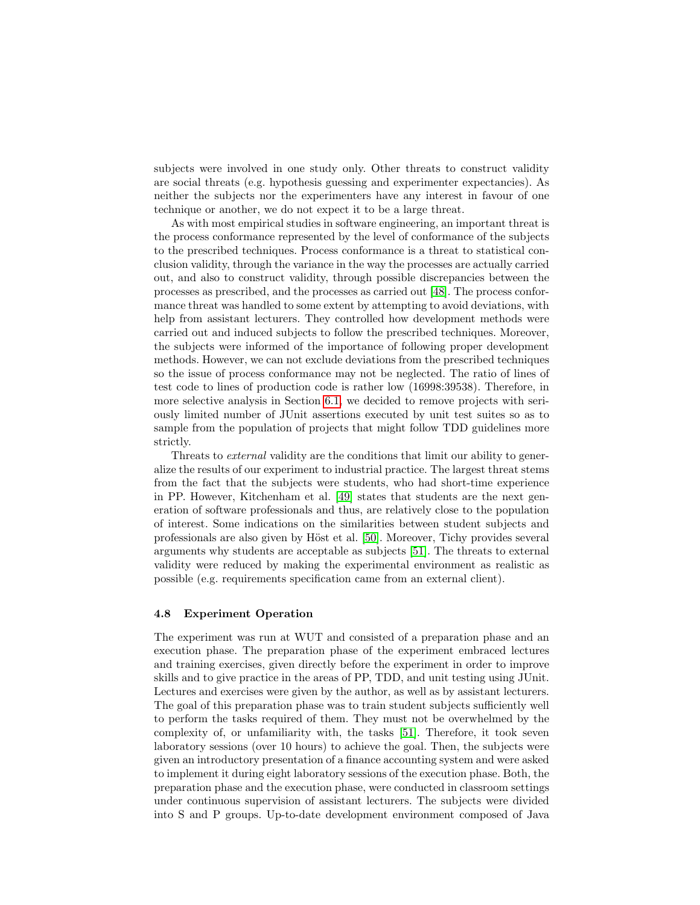subjects were involved in one study only. Other threats to construct validity are social threats (e.g. hypothesis guessing and experimenter expectancies). As neither the subjects nor the experimenters have any interest in favour of one technique or another, we do not expect it to be a large threat.

As with most empirical studies in software engineering, an important threat is the process conformance represented by the level of conformance of the subjects to the prescribed techniques. Process conformance is a threat to statistical conclusion validity, through the variance in the way the processes are actually carried out, and also to construct validity, through possible discrepancies between the processes as prescribed, and the processes as carried out [\[48\]](#page-19-12). The process conformance threat was handled to some extent by attempting to avoid deviations, with help from assistant lecturers. They controlled how development methods were carried out and induced subjects to follow the prescribed techniques. Moreover, the subjects were informed of the importance of following proper development methods. However, we can not exclude deviations from the prescribed techniques so the issue of process conformance may not be neglected. The ratio of lines of test code to lines of production code is rather low (16998:39538). Therefore, in more selective analysis in Section [6.1,](#page-11-0) we decided to remove projects with seriously limited number of JUnit assertions executed by unit test suites so as to sample from the population of projects that might follow TDD guidelines more strictly.

Threats to *external* validity are the conditions that limit our ability to generalize the results of our experiment to industrial practice. The largest threat stems from the fact that the subjects were students, who had short-time experience in PP. However, Kitchenham et al. [\[49\]](#page-19-13) states that students are the next generation of software professionals and thus, are relatively close to the population of interest. Some indications on the similarities between student subjects and professionals are also given by Höst et al. [\[50\]](#page-19-14). Moreover, Tichy provides several arguments why students are acceptable as subjects [\[51\]](#page-19-15). The threats to external validity were reduced by making the experimental environment as realistic as possible (e.g. requirements specification came from an external client).

### <span id="page-8-0"></span>4.8 Experiment Operation

The experiment was run at WUT and consisted of a preparation phase and an execution phase. The preparation phase of the experiment embraced lectures and training exercises, given directly before the experiment in order to improve skills and to give practice in the areas of PP, TDD, and unit testing using JUnit. Lectures and exercises were given by the author, as well as by assistant lecturers. The goal of this preparation phase was to train student subjects sufficiently well to perform the tasks required of them. They must not be overwhelmed by the complexity of, or unfamiliarity with, the tasks [\[51\]](#page-19-15). Therefore, it took seven laboratory sessions (over 10 hours) to achieve the goal. Then, the subjects were given an introductory presentation of a finance accounting system and were asked to implement it during eight laboratory sessions of the execution phase. Both, the preparation phase and the execution phase, were conducted in classroom settings under continuous supervision of assistant lecturers. The subjects were divided into S and P groups. Up-to-date development environment composed of Java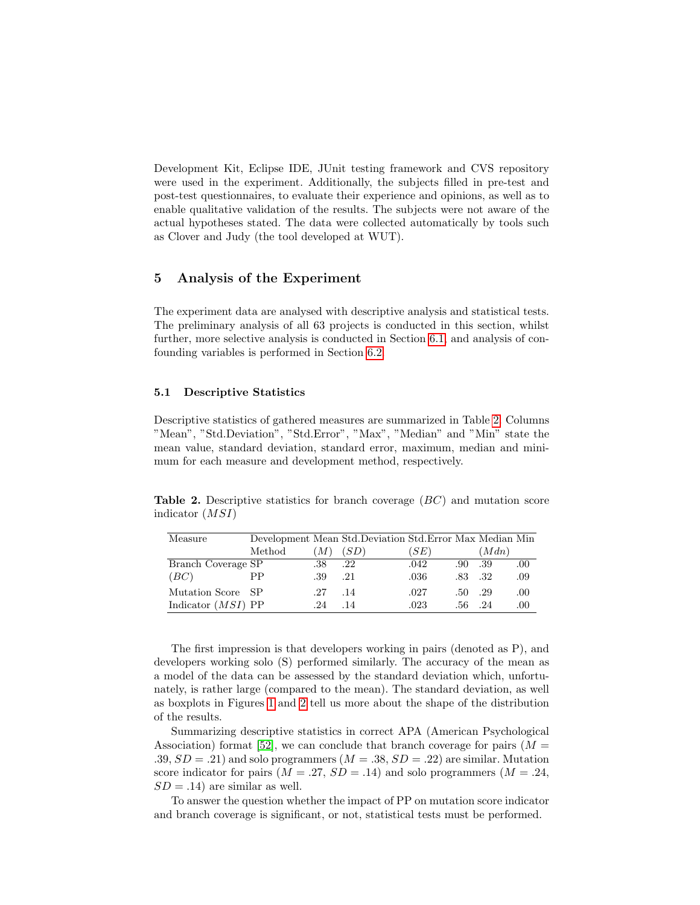Development Kit, Eclipse IDE, JUnit testing framework and CVS repository were used in the experiment. Additionally, the subjects filled in pre-test and post-test questionnaires, to evaluate their experience and opinions, as well as to enable qualitative validation of the results. The subjects were not aware of the actual hypotheses stated. The data were collected automatically by tools such as Clover and Judy (the tool developed at WUT).

# <span id="page-9-0"></span>5 Analysis of the Experiment

The experiment data are analysed with descriptive analysis and statistical tests. The preliminary analysis of all 63 projects is conducted in this section, whilst further, more selective analysis is conducted in Section [6.1,](#page-11-0) and analysis of confounding variables is performed in Section [6.2.](#page-13-0)

## 5.1 Descriptive Statistics

Descriptive statistics of gathered measures are summarized in Table [2.](#page-9-1) Columns "Mean", "Std.Deviation", "Std.Error", "Max", "Median" and "Min" state the mean value, standard deviation, standard error, maximum, median and minimum for each measure and development method, respectively.

<span id="page-9-1"></span>**Table 2.** Descriptive statistics for branch coverage  $(BC)$  and mutation score indicator (MSI)

| Measure              |        |     | Development Mean Std.Deviation Std.Error Max Median Min |      |     |       |      |
|----------------------|--------|-----|---------------------------------------------------------|------|-----|-------|------|
|                      | Method | (M) | (SD)                                                    | (SE) |     | (Mdn) |      |
| Branch Coverage SP   |        | .38 | .22.                                                    | .042 | .90 | - 39  | .00  |
| (BC)                 | РP     | .39 | .21                                                     | .036 | .83 | .32   | .09  |
| Mutation Score SP    |        | .27 | .14                                                     | .027 | .50 | .29   | .00. |
| Indicator $(MSI)$ PP |        | 24  | -14                                                     | .023 | .56 | - 24  | .00  |

The first impression is that developers working in pairs (denoted as P), and developers working solo (S) performed similarly. The accuracy of the mean as a model of the data can be assessed by the standard deviation which, unfortunately, is rather large (compared to the mean). The standard deviation, as well as boxplots in Figures [1](#page-10-0) and [2](#page-10-1) tell us more about the shape of the distribution of the results.

Summarizing descriptive statistics in correct APA (American Psychological Association) format [\[52\]](#page-19-16), we can conclude that branch coverage for pairs  $(M =$ .39,  $SD = .21$ ) and solo programmers ( $M = .38$ ,  $SD = .22$ ) are similar. Mutation score indicator for pairs  $(M = .27, SD = .14)$  and solo programmers  $(M = .24,$  $SD = .14$ ) are similar as well.

To answer the question whether the impact of PP on mutation score indicator and branch coverage is significant, or not, statistical tests must be performed.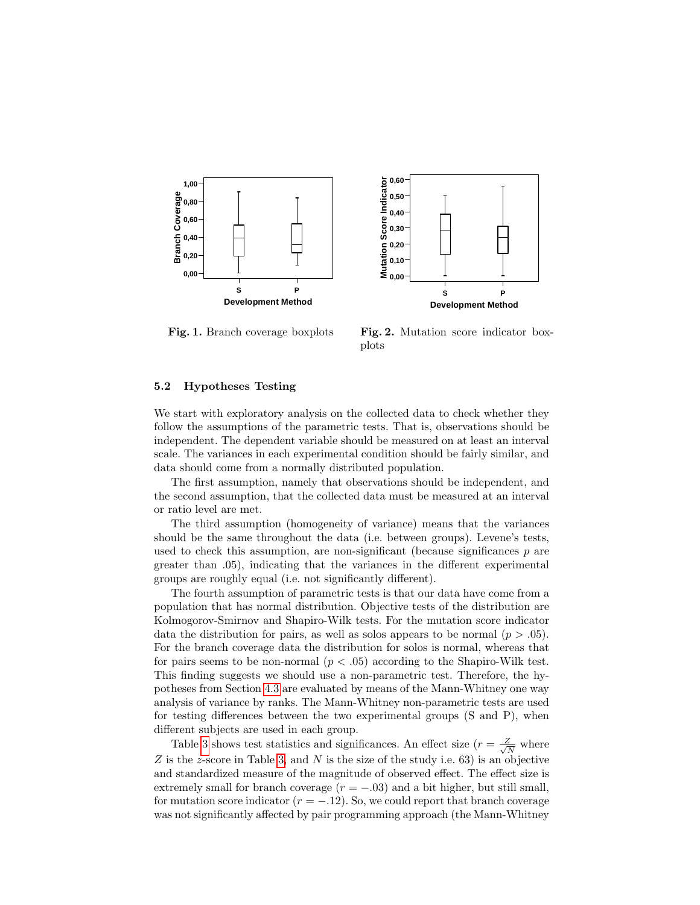



<span id="page-10-0"></span>Fig. 1. Branch coverage boxplots

<span id="page-10-1"></span>Fig. 2. Mutation score indicator boxplots

### 5.2 Hypotheses Testing

We start with exploratory analysis on the collected data to check whether they follow the assumptions of the parametric tests. That is, observations should be independent. The dependent variable should be measured on at least an interval scale. The variances in each experimental condition should be fairly similar, and data should come from a normally distributed population.

The first assumption, namely that observations should be independent, and the second assumption, that the collected data must be measured at an interval or ratio level are met.

The third assumption (homogeneity of variance) means that the variances should be the same throughout the data (i.e. between groups). Levene's tests, used to check this assumption, are non-significant (because significances  $p$  are greater than .05), indicating that the variances in the different experimental groups are roughly equal (i.e. not significantly different).

The fourth assumption of parametric tests is that our data have come from a population that has normal distribution. Objective tests of the distribution are Kolmogorov-Smirnov and Shapiro-Wilk tests. For the mutation score indicator data the distribution for pairs, as well as solos appears to be normal  $(p > .05)$ . For the branch coverage data the distribution for solos is normal, whereas that for pairs seems to be non-normal ( $p < .05$ ) according to the Shapiro-Wilk test. This finding suggests we should use a non-parametric test. Therefore, the hypotheses from Section [4.3](#page-6-0) are evaluated by means of the Mann-Whitney one way analysis of variance by ranks. The Mann-Whitney non-parametric tests are used for testing differences between the two experimental groups (S and P), when different subjects are used in each group.

Table [3](#page-11-1) shows test statistics and significances. An effect size  $(r = \frac{Z}{\sqrt{2}})$  $\frac{2}{N}$  where  $Z$  is the z-score in Table [3,](#page-11-1) and  $N$  is the size of the study i.e. 63) is an objective and standardized measure of the magnitude of observed effect. The effect size is extremely small for branch coverage  $(r = -.03)$  and a bit higher, but still small, for mutation score indicator  $(r = -.12)$ . So, we could report that branch coverage was not significantly affected by pair programming approach (the Mann-Whitney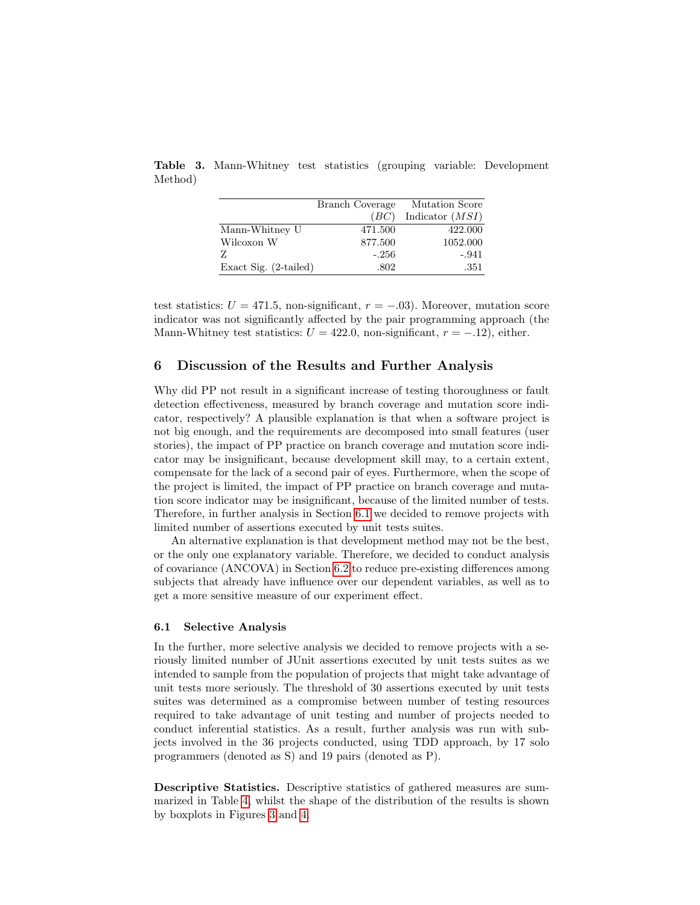<span id="page-11-1"></span>

|                                | Branch Coverage | Mutation Score    |
|--------------------------------|-----------------|-------------------|
|                                | (BC)            | Indicator $(MSI)$ |
| Mann-Whitney U                 | 471.500         | 422.000           |
| Wilcoxon W                     | 877.500         | 1052.000          |
|                                | $-.256$         | $-.941$           |
| Exact Sig. $(2\text{-tailed})$ | .802            | .351              |

Table 3. Mann-Whitney test statistics (grouping variable: Development Method)

test statistics:  $U = 471.5$ , non-significant,  $r = -.03$ ). Moreover, mutation score indicator was not significantly affected by the pair programming approach (the Mann-Whitney test statistics:  $U = 422.0$ , non-significant,  $r = -.12$ ), either.

# 6 Discussion of the Results and Further Analysis

Why did PP not result in a significant increase of testing thoroughness or fault detection effectiveness, measured by branch coverage and mutation score indicator, respectively? A plausible explanation is that when a software project is not big enough, and the requirements are decomposed into small features (user stories), the impact of PP practice on branch coverage and mutation score indicator may be insignificant, because development skill may, to a certain extent, compensate for the lack of a second pair of eyes. Furthermore, when the scope of the project is limited, the impact of PP practice on branch coverage and mutation score indicator may be insignificant, because of the limited number of tests. Therefore, in further analysis in Section [6.1](#page-11-0) we decided to remove projects with limited number of assertions executed by unit tests suites.

An alternative explanation is that development method may not be the best, or the only one explanatory variable. Therefore, we decided to conduct analysis of covariance (ANCOVA) in Section [6.2](#page-13-0) to reduce pre-existing differences among subjects that already have influence over our dependent variables, as well as to get a more sensitive measure of our experiment effect.

### <span id="page-11-0"></span>6.1 Selective Analysis

In the further, more selective analysis we decided to remove projects with a seriously limited number of JUnit assertions executed by unit tests suites as we intended to sample from the population of projects that might take advantage of unit tests more seriously. The threshold of 30 assertions executed by unit tests suites was determined as a compromise between number of testing resources required to take advantage of unit testing and number of projects needed to conduct inferential statistics. As a result, further analysis was run with subjects involved in the 36 projects conducted, using TDD approach, by 17 solo programmers (denoted as S) and 19 pairs (denoted as P).

Descriptive Statistics. Descriptive statistics of gathered measures are summarized in Table [4,](#page-12-0) whilst the shape of the distribution of the results is shown by boxplots in Figures [3](#page-12-1) and [4.](#page-12-2)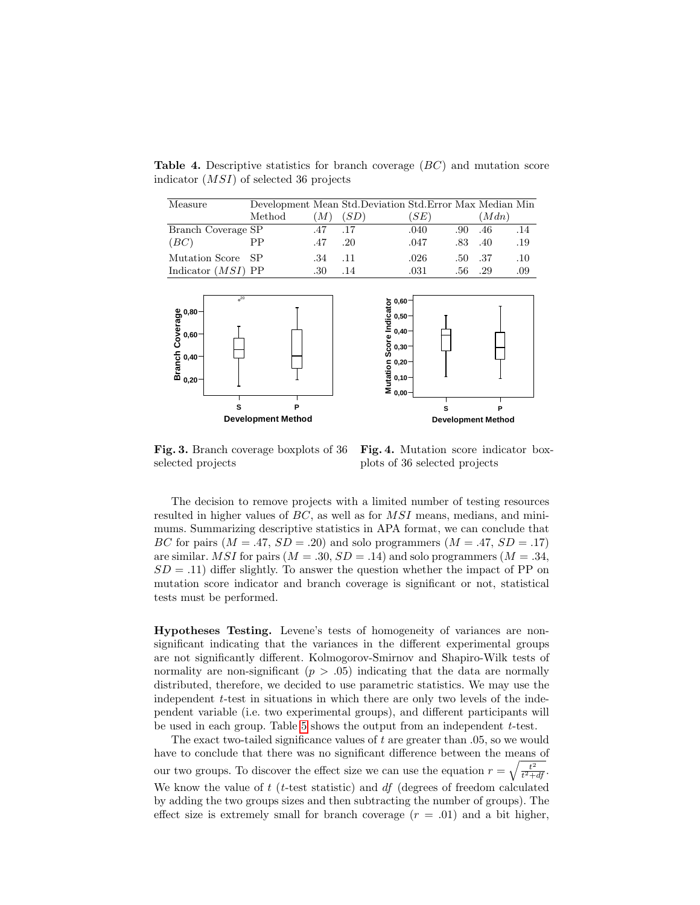<span id="page-12-0"></span>**Table 4.** Descriptive statistics for branch coverage  $(BC)$  and mutation score indicator (MSI) of selected 36 projects

| Measure              |        |     | Development Mean Std.Deviation Std.Error Max Median Min |      |                 |       |     |
|----------------------|--------|-----|---------------------------------------------------------|------|-----------------|-------|-----|
|                      | Method | (M) | (SD)                                                    | (SE) |                 | (Mdn) |     |
| Branch Coverage SP   |        | .47 | .17                                                     | .040 | .90             | .46   | .14 |
| (BC)                 | РP     | .47 | .20                                                     | .047 | .83             | .40   | .19 |
| Mutation Score SP    |        | -34 | .11                                                     | .026 | $.50 \quad .37$ |       | .10 |
| Indicator $(MSI)$ PP |        | .30 | .14                                                     | .031 | .56             | .29   | .09 |



<span id="page-12-1"></span>Fig. 3. Branch coverage boxplots of 36 selected projects

<span id="page-12-2"></span>Fig. 4. Mutation score indicator boxplots of 36 selected projects

The decision to remove projects with a limited number of testing resources resulted in higher values of BC, as well as for MSI means, medians, and minimums. Summarizing descriptive statistics in APA format, we can conclude that BC for pairs  $(M = .47, SD = .20)$  and solo programmers  $(M = .47, SD = .17)$ are similar. MSI for pairs  $(M = .30, SD = .14)$  and solo programmers  $(M = .34,$  $SD = .11$ ) differ slightly. To answer the question whether the impact of PP on mutation score indicator and branch coverage is significant or not, statistical tests must be performed.

Hypotheses Testing. Levene's tests of homogeneity of variances are nonsignificant indicating that the variances in the different experimental groups are not significantly different. Kolmogorov-Smirnov and Shapiro-Wilk tests of normality are non-significant  $(p > .05)$  indicating that the data are normally distributed, therefore, we decided to use parametric statistics. We may use the independent  $t$ -test in situations in which there are only two levels of the independent variable (i.e. two experimental groups), and different participants will be used in each group. Table [5](#page-13-1) shows the output from an independent  $t$ -test.

The exact two-tailed significance values of t are greater than .05, so we would have to conclude that there was no significant difference between the means of our two groups. To discover the effect size we can use the equation  $r = \sqrt{\frac{t^2}{t^2 + df}}$ . We know the value of  $t$  ( $t$ -test statistic) and  $df$  (degrees of freedom calculated by adding the two groups sizes and then subtracting the number of groups). The effect size is extremely small for branch coverage  $(r = .01)$  and a bit higher,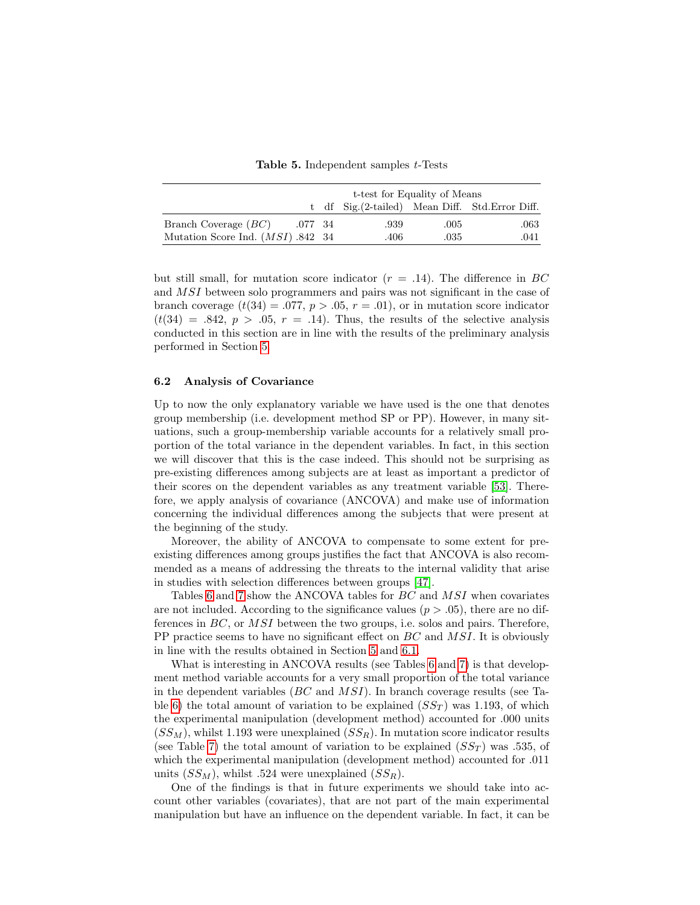<span id="page-13-1"></span>Table 5. Independent samples t-Tests

|                                            |         | t-test for Equality of Means |      |      |                                                  |  |  |  |
|--------------------------------------------|---------|------------------------------|------|------|--------------------------------------------------|--|--|--|
|                                            |         |                              |      |      | t df Sig. (2-tailed) Mean Diff. Std. Error Diff. |  |  |  |
| Branch Coverage $(BC)$                     | .077 34 |                              | .939 | .005 | .063                                             |  |  |  |
| Mutation Score Ind. ( <i>MSI</i> ) .842 34 |         |                              | .406 | .035 | .041                                             |  |  |  |

but still small, for mutation score indicator  $(r = .14)$ . The difference in BC and MSI between solo programmers and pairs was not significant in the case of branch coverage  $(t(34) = .077, p > .05, r = .01)$ , or in mutation score indicator  $(t(34) = .842, p > .05, r = .14)$ . Thus, the results of the selective analysis conducted in this section are in line with the results of the preliminary analysis performed in Section [5.](#page-9-0)

#### <span id="page-13-0"></span>6.2 Analysis of Covariance

Up to now the only explanatory variable we have used is the one that denotes group membership (i.e. development method SP or PP). However, in many situations, such a group-membership variable accounts for a relatively small proportion of the total variance in the dependent variables. In fact, in this section we will discover that this is the case indeed. This should not be surprising as pre-existing differences among subjects are at least as important a predictor of their scores on the dependent variables as any treatment variable [\[53\]](#page-19-17). Therefore, we apply analysis of covariance (ANCOVA) and make use of information concerning the individual differences among the subjects that were present at the beginning of the study.

Moreover, the ability of ANCOVA to compensate to some extent for preexisting differences among groups justifies the fact that ANCOVA is also recommended as a means of addressing the threats to the internal validity that arise in studies with selection differences between groups [\[47\]](#page-19-18).

Tables [6](#page-14-0) and [7](#page-14-1) show the ANCOVA tables for BC and MSI when covariates are not included. According to the significance values  $(p > .05)$ , there are no differences in BC, or MSI between the two groups, i.e. solos and pairs. Therefore, PP practice seems to have no significant effect on  $BC$  and  $MSI$ . It is obviously in line with the results obtained in Section [5](#page-9-0) and [6.1.](#page-11-0)

What is interesting in ANCOVA results (see Tables [6](#page-14-0) and [7\)](#page-14-1) is that development method variable accounts for a very small proportion of the total variance in the dependent variables  $(BC \text{ and } MSI)$ . In branch coverage results (see Ta-ble [6\)](#page-14-0) the total amount of variation to be explained  $(S_{ST})$  was 1.193, of which the experimental manipulation (development method) accounted for .000 units  $(SS_M)$ , whilst 1.193 were unexplained  $(SS_R)$ . In mutation score indicator results (see Table [7\)](#page-14-1) the total amount of variation to be explained  $(SS_T)$  was .535, of which the experimental manipulation (development method) accounted for .011 units  $(SS_M)$ , whilst .524 were unexplained  $(SS_R)$ .

One of the findings is that in future experiments we should take into account other variables (covariates), that are not part of the main experimental manipulation but have an influence on the dependent variable. In fact, it can be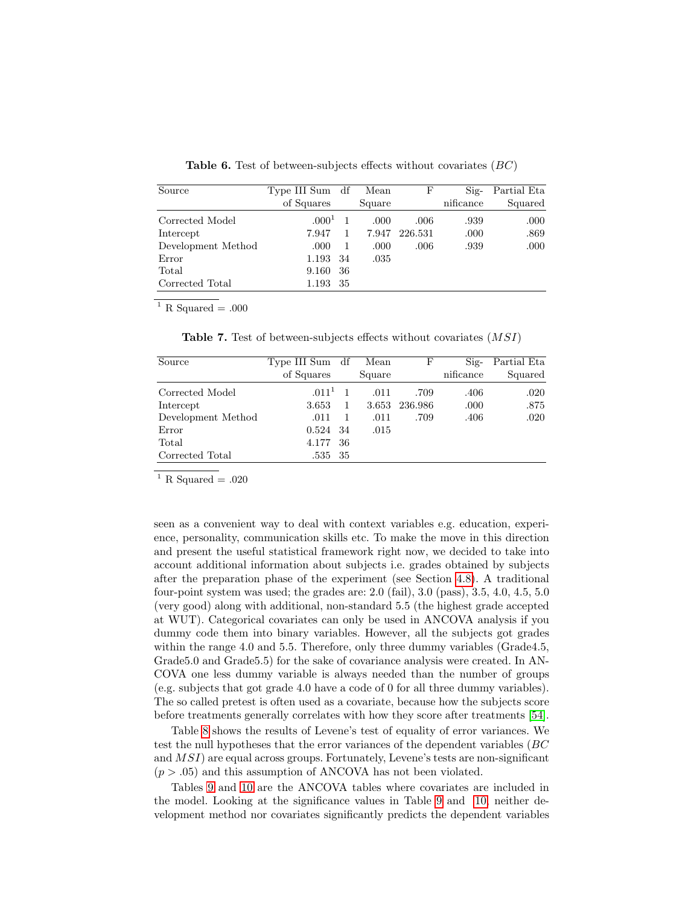| Source             | Type III Sum df   |     | Mean   | F       | $\mathrm{Sig}$ | Partial Eta |
|--------------------|-------------------|-----|--------|---------|----------------|-------------|
|                    | of Squares        |     | Square |         | nificance      | Squared     |
| Corrected Model    | .000 <sup>1</sup> |     | .000   | .006    | .939           | .000        |
| Intercept          | 7.947             | 1   | 7.947  | 226.531 | .000           | .869        |
| Development Method | .000              |     | .000   | .006    | .939           | .000        |
| Error              | 1.193             | -34 | .035   |         |                |             |
| Total              | 9.160             | -36 |        |         |                |             |
| Corrected Total    | 1.193             | 35  |        |         |                |             |

<span id="page-14-0"></span>Table 6. Test of between-subjects effects without covariates (BC)

 $\overline{1}$  R Squared = .000

<span id="page-14-1"></span>Table 7. Test of between-subjects effects without covariates (MSI)

| Source             | Type III Sum df<br>of Squares |                | Mean<br>Square | F       | $\mathrm{Sig}$<br>nificance | Partial Eta<br>Squared |
|--------------------|-------------------------------|----------------|----------------|---------|-----------------------------|------------------------|
|                    |                               |                |                |         |                             |                        |
| Corrected Model    | .011 <sup>1</sup>             | $\overline{1}$ | .011           | .709    | .406                        | .020                   |
| Intercept          | 3.653                         | 1              | 3.653          | 236.986 | .000                        | .875                   |
| Development Method | .011                          | $\overline{1}$ | .011           | .709    | .406                        | .020                   |
| Error              | 0.524 34                      |                | .015           |         |                             |                        |
| Total              | 4.177                         | 36             |                |         |                             |                        |
| Corrected Total    | .535                          | -35            |                |         |                             |                        |

 $^{\rm 1}$  R Squared = .020

seen as a convenient way to deal with context variables e.g. education, experience, personality, communication skills etc. To make the move in this direction and present the useful statistical framework right now, we decided to take into account additional information about subjects i.e. grades obtained by subjects after the preparation phase of the experiment (see Section [4.8\)](#page-8-0). A traditional four-point system was used; the grades are:  $2.0$  (fail),  $3.0$  (pass),  $3.5, 4.0, 4.5, 5.0$ (very good) along with additional, non-standard 5.5 (the highest grade accepted at WUT). Categorical covariates can only be used in ANCOVA analysis if you dummy code them into binary variables. However, all the subjects got grades within the range 4.0 and 5.5. Therefore, only three dummy variables (Grade4.5, Grade5.0 and Grade5.5) for the sake of covariance analysis were created. In AN-COVA one less dummy variable is always needed than the number of groups (e.g. subjects that got grade 4.0 have a code of 0 for all three dummy variables). The so called pretest is often used as a covariate, because how the subjects score before treatments generally correlates with how they score after treatments [\[54\]](#page-19-19).

Table [8](#page-15-0) shows the results of Levene's test of equality of error variances. We test the null hypotheses that the error variances of the dependent variables (BC and MSI) are equal across groups. Fortunately, Levene's tests are non-significant  $(p > .05)$  and this assumption of ANCOVA has not been violated.

Tables [9](#page-15-1) and [10](#page-16-0) are the ANCOVA tables where covariates are included in the model. Looking at the significance values in Table [9](#page-15-1) and [10,](#page-16-0) neither development method nor covariates significantly predicts the dependent variables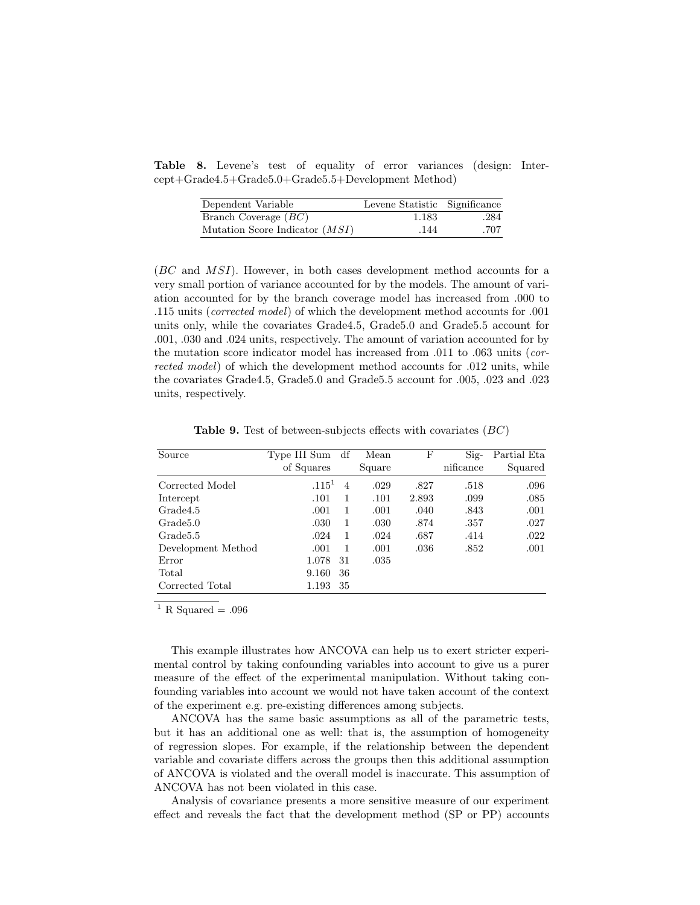Table 8. Levene's test of equality of error variances (design: Intercept+Grade4.5+Grade5.0+Grade5.5+Development Method)

<span id="page-15-0"></span>

| Dependent Variable               | Levene Statistic Significance |      |
|----------------------------------|-------------------------------|------|
| Branch Coverage $(BC)$           | 1.183                         | .284 |
| Mutation Score Indicator $(MSI)$ | .144                          | .707 |

(BC and MSI). However, in both cases development method accounts for a very small portion of variance accounted for by the models. The amount of variation accounted for by the branch coverage model has increased from .000 to .115 units (corrected model) of which the development method accounts for .001 units only, while the covariates Grade4.5, Grade5.0 and Grade5.5 account for .001, .030 and .024 units, respectively. The amount of variation accounted for by the mutation score indicator model has increased from .011 to .063 units (corrected model) of which the development method accounts for .012 units, while the covariates Grade4.5, Grade5.0 and Grade5.5 account for .005, .023 and .023 units, respectively.

| Source               | Type III Sum df<br>of Squares |                | Mean<br>Square | F     | $\mathrm{Sig}$<br>nificance | Partial Eta<br>Squared |
|----------------------|-------------------------------|----------------|----------------|-------|-----------------------------|------------------------|
| Corrected Model      | .115 <sup>1</sup>             | $\overline{4}$ | .029           | .827  | .518                        | .096                   |
| Intercept            | .101                          | 1              | .101           | 2.893 | .099                        | .085                   |
| Grade4.5             | .001                          | 1              | .001           | .040  | .843                        | .001                   |
| Grade5.0             | .030                          | 1              | .030           | .874  | .357                        | .027                   |
| Grade <sup>5.5</sup> | .024                          | 1              | .024           | .687  | .414                        | .022                   |
| Development Method   | .001                          | 1              | .001           | .036  | .852                        | .001                   |
| Error                | 1.078                         | 31             | .035           |       |                             |                        |
| Total                | 9.160                         | 36             |                |       |                             |                        |
| Corrected Total      | 1.193                         | 35             |                |       |                             |                        |

<span id="page-15-1"></span>**Table 9.** Test of between-subjects effects with covariates  $(BC)$ 

 $^{\rm 1}$  R Squared = .096

This example illustrates how ANCOVA can help us to exert stricter experimental control by taking confounding variables into account to give us a purer measure of the effect of the experimental manipulation. Without taking confounding variables into account we would not have taken account of the context of the experiment e.g. pre-existing differences among subjects.

ANCOVA has the same basic assumptions as all of the parametric tests, but it has an additional one as well: that is, the assumption of homogeneity of regression slopes. For example, if the relationship between the dependent variable and covariate differs across the groups then this additional assumption of ANCOVA is violated and the overall model is inaccurate. This assumption of ANCOVA has not been violated in this case.

Analysis of covariance presents a more sensitive measure of our experiment effect and reveals the fact that the development method (SP or PP) accounts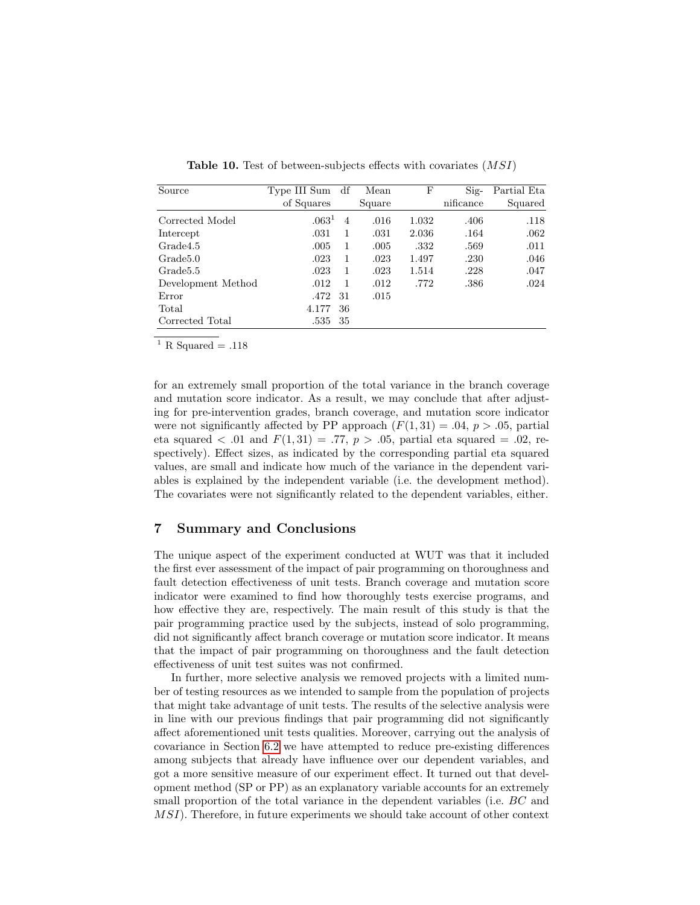| Source               | Type III Sum df |              | Mean   | F     | $Sig-$    | Partial Eta |
|----------------------|-----------------|--------------|--------|-------|-----------|-------------|
|                      | of Squares      |              | Square |       | nificance | Squared     |
| Corrected Model      | $0.063^{1}$     | 4            | .016   | 1.032 | .406      | .118        |
| Intercept            | .031            | 1            | .031   | 2.036 | .164      | .062        |
| Grade4.5             | .005            | 1            | .005   | .332  | .569      | .011        |
| Grade5.0             | .023            | 1            | .023   | 1.497 | .230      | .046        |
| Grade <sup>5.5</sup> | .023            | 1            | .023   | 1.514 | .228      | .047        |
| Development Method   | .012            | $\mathbf{1}$ | .012   | .772  | .386      | .024        |
| Error                | .472            | 31           | .015   |       |           |             |
| Total                | 4.177           | 36           |        |       |           |             |
| Corrected Total      | .535            | -35          |        |       |           |             |

<span id="page-16-0"></span>Table 10. Test of between-subjects effects with covariates (MSI)

 $^1$  R Squared =  $.118$ 

for an extremely small proportion of the total variance in the branch coverage and mutation score indicator. As a result, we may conclude that after adjusting for pre-intervention grades, branch coverage, and mutation score indicator were not significantly affected by PP approach  $(F(1, 31) = .04, p > .05$ , partial eta squared  $\langle .01 \rangle$  and  $F(1,31) = .77, p > .05$ , partial eta squared = .02, respectively). Effect sizes, as indicated by the corresponding partial eta squared values, are small and indicate how much of the variance in the dependent variables is explained by the independent variable (i.e. the development method). The covariates were not significantly related to the dependent variables, either.

# 7 Summary and Conclusions

The unique aspect of the experiment conducted at WUT was that it included the first ever assessment of the impact of pair programming on thoroughness and fault detection effectiveness of unit tests. Branch coverage and mutation score indicator were examined to find how thoroughly tests exercise programs, and how effective they are, respectively. The main result of this study is that the pair programming practice used by the subjects, instead of solo programming, did not significantly affect branch coverage or mutation score indicator. It means that the impact of pair programming on thoroughness and the fault detection effectiveness of unit test suites was not confirmed.

In further, more selective analysis we removed projects with a limited number of testing resources as we intended to sample from the population of projects that might take advantage of unit tests. The results of the selective analysis were in line with our previous findings that pair programming did not significantly affect aforementioned unit tests qualities. Moreover, carrying out the analysis of covariance in Section [6.2](#page-13-0) we have attempted to reduce pre-existing differences among subjects that already have influence over our dependent variables, and got a more sensitive measure of our experiment effect. It turned out that development method (SP or PP) as an explanatory variable accounts for an extremely small proportion of the total variance in the dependent variables (i.e. BC and MSI). Therefore, in future experiments we should take account of other context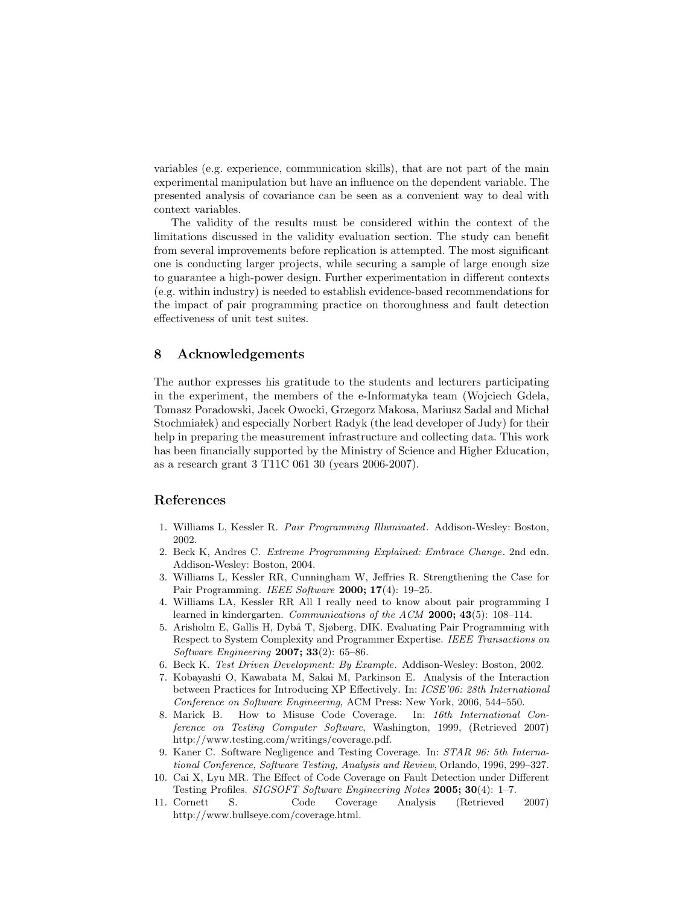variables (e.g. experience, communication skills), that are not part of the main experimental manipulation but have an influence on the dependent variable. The presented analysis of covariance can be seen as a convenient way to deal with context variables.

The validity of the results must be considered within the context of the limitations discussed in the validity evaluation section. The study can benefit from several improvements before replication is attempted. The most significant one is conducting larger projects, while securing a sample of large enough size to guarantee a high-power design. Further experimentation in different contexts (e.g. within industry) is needed to establish evidence-based recommendations for the impact of pair programming practice on thoroughness and fault detection effectiveness of unit test suites.

# 8 Acknowledgements

The author expresses his gratitude to the students and lecturers participating in the experiment, the members of the e-Informatyka team (Wojciech Gdela, Tomasz Poradowski, Jacek Owocki, Grzegorz Makosa, Mariusz Sadal and Micha l Stochmia lek) and especially Norbert Radyk (the lead developer of Judy) for their help in preparing the measurement infrastructure and collecting data. This work has been financially supported by the Ministry of Science and Higher Education, as a research grant 3 T11C 061 30 (years 2006-2007).

## References

- <span id="page-17-0"></span>1. Williams L, Kessler R. Pair Programming Illuminated. Addison-Wesley: Boston, 2002.
- <span id="page-17-1"></span>2. Beck K, Andres C. Extreme Programming Explained: Embrace Change. 2nd edn. Addison-Wesley: Boston, 2004.
- <span id="page-17-2"></span>3. Williams L, Kessler RR, Cunningham W, Jeffries R. Strengthening the Case for Pair Programming. IEEE Software 2000; 17(4): 19-25.
- <span id="page-17-3"></span>4. Williams LA, Kessler RR All I really need to know about pair programming I learned in kindergarten. Communications of the ACM 2000; 43(5): 108-114.
- <span id="page-17-4"></span>5. Arisholm E, Gallis H, Dybå T, Sjøberg, DIK. Evaluating Pair Programming with Respect to System Complexity and Programmer Expertise. IEEE Transactions on Software Engineering 2007; 33(2): 65–86.
- <span id="page-17-5"></span>6. Beck K. Test Driven Development: By Example. Addison-Wesley: Boston, 2002.
- <span id="page-17-6"></span>7. Kobayashi O, Kawabata M, Sakai M, Parkinson E. Analysis of the Interaction between Practices for Introducing XP Effectively. In: ICSE'06: 28th International Conference on Software Engineering, ACM Press: New York, 2006, 544–550.
- <span id="page-17-7"></span>8. Marick B. How to Misuse Code Coverage. In: 16th International Conference on Testing Computer Software, Washington, 1999, (Retrieved 2007) http://www.testing.com/writings/coverage.pdf.
- <span id="page-17-8"></span>9. Kaner C. Software Negligence and Testing Coverage. In: STAR 96: 5th International Conference, Software Testing, Analysis and Review, Orlando, 1996, 299–327.
- 10. Cai X, Lyu MR. The Effect of Code Coverage on Fault Detection under Different Testing Profiles. SIGSOFT Software Engineering Notes 2005; 30(4): 1-7.
- <span id="page-17-9"></span>11. Cornett S. Code Coverage Analysis (Retrieved 2007) http://www.bullseye.com/coverage.html.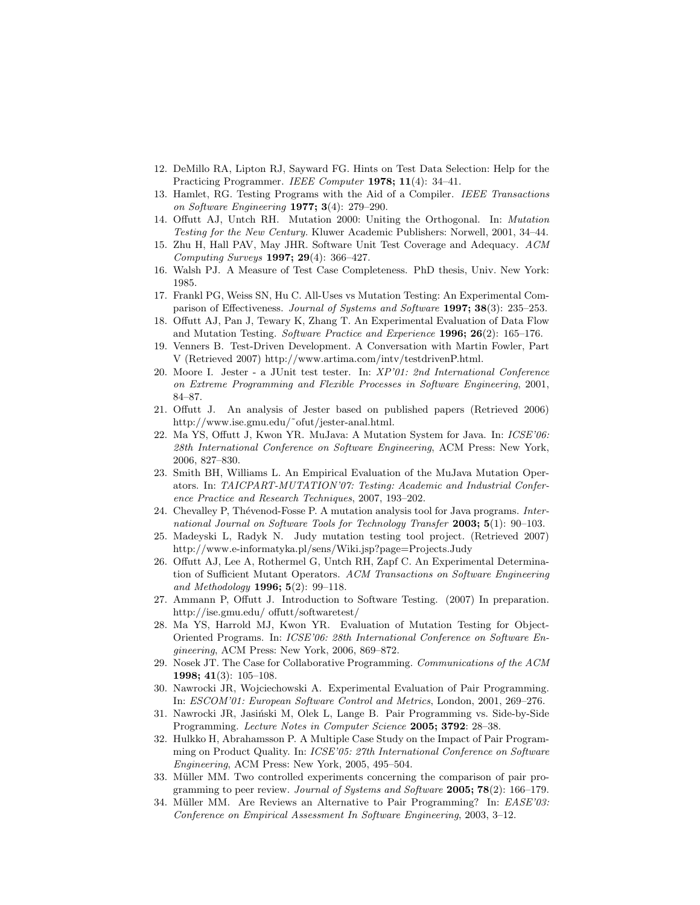- <span id="page-18-0"></span>12. DeMillo RA, Lipton RJ, Sayward FG. Hints on Test Data Selection: Help for the Practicing Programmer. IEEE Computer 1978; 11(4): 34–41.
- <span id="page-18-1"></span>13. Hamlet, RG. Testing Programs with the Aid of a Compiler. IEEE Transactions on Software Engineering 1977; 3(4): 279–290.
- <span id="page-18-2"></span>14. Offutt AJ, Untch RH. Mutation 2000: Uniting the Orthogonal. In: Mutation Testing for the New Century. Kluwer Academic Publishers: Norwell, 2001, 34–44.
- <span id="page-18-3"></span>15. Zhu H, Hall PAV, May JHR. Software Unit Test Coverage and Adequacy. ACM Computing Surveys 1997; 29(4): 366–427.
- <span id="page-18-4"></span>16. Walsh PJ. A Measure of Test Case Completeness. PhD thesis, Univ. New York: 1985.
- <span id="page-18-5"></span>17. Frankl PG, Weiss SN, Hu C. All-Uses vs Mutation Testing: An Experimental Comparison of Effectiveness. Journal of Systems and Software 1997; 38(3): 235-253.
- <span id="page-18-6"></span>18. Offutt AJ, Pan J, Tewary K, Zhang T. An Experimental Evaluation of Data Flow and Mutation Testing. Software Practice and Experience 1996; 26(2): 165–176.
- <span id="page-18-7"></span>19. Venners B. Test-Driven Development. A Conversation with Martin Fowler, Part V (Retrieved 2007) http://www.artima.com/intv/testdrivenP.html.
- <span id="page-18-8"></span>20. Moore I. Jester - a JUnit test tester. In: XP'01: 2nd International Conference on Extreme Programming and Flexible Processes in Software Engineering, 2001, 84–87.
- <span id="page-18-9"></span>21. Offutt J. An analysis of Jester based on published papers (Retrieved 2006) http://www.ise.gmu.edu/˜ofut/jester-anal.html.
- <span id="page-18-10"></span>22. Ma YS, Offutt J, Kwon YR. MuJava: A Mutation System for Java. In: ICSE'06: 28th International Conference on Software Engineering, ACM Press: New York, 2006, 827–830.
- <span id="page-18-11"></span>23. Smith BH, Williams L. An Empirical Evaluation of the MuJava Mutation Operators. In: TAICPART-MUTATION'07: Testing: Academic and Industrial Conference Practice and Research Techniques, 2007, 193–202.
- <span id="page-18-12"></span>24. Chevalley P, Thévenod-Fosse P. A mutation analysis tool for Java programs. International Journal on Software Tools for Technology Transfer 2003; 5(1): 90–103.
- <span id="page-18-13"></span>25. Madeyski L, Radyk N. Judy mutation testing tool project. (Retrieved 2007) http://www.e-informatyka.pl/sens/Wiki.jsp?page=Projects.Judy
- <span id="page-18-14"></span>26. Offutt AJ, Lee A, Rothermel G, Untch RH, Zapf C. An Experimental Determination of Sufficient Mutant Operators. ACM Transactions on Software Engineering and Methodology **1996;**  $5(2)$ : 99-118.
- <span id="page-18-15"></span>27. Ammann P, Offutt J. Introduction to Software Testing. (2007) In preparation. http://ise.gmu.edu/ offutt/softwaretest/
- <span id="page-18-16"></span>28. Ma YS, Harrold MJ, Kwon YR. Evaluation of Mutation Testing for Object-Oriented Programs. In: ICSE'06: 28th International Conference on Software Engineering, ACM Press: New York, 2006, 869–872.
- <span id="page-18-17"></span>29. Nosek JT. The Case for Collaborative Programming. Communications of the ACM 1998; 41(3): 105–108.
- <span id="page-18-18"></span>30. Nawrocki JR, Wojciechowski A. Experimental Evaluation of Pair Programming. In: ESCOM'01: European Software Control and Metrics, London, 2001, 269–276.
- <span id="page-18-19"></span>31. Nawrocki JR, Jasiński M, Olek L, Lange B. Pair Programming vs. Side-by-Side Programming. Lecture Notes in Computer Science 2005; 3792: 28–38.
- <span id="page-18-20"></span>32. Hulkko H, Abrahamsson P. A Multiple Case Study on the Impact of Pair Programming on Product Quality. In: ICSE'05: 27th International Conference on Software Engineering, ACM Press: New York, 2005, 495–504.
- <span id="page-18-21"></span>33. Müller MM. Two controlled experiments concerning the comparison of pair programming to peer review. Journal of Systems and Software  $2005$ ;  $78(2)$ : 166–179.
- <span id="page-18-22"></span>34. Müller MM. Are Reviews an Alternative to Pair Programming? In: *EASE'03:* Conference on Empirical Assessment In Software Engineering, 2003, 3–12.